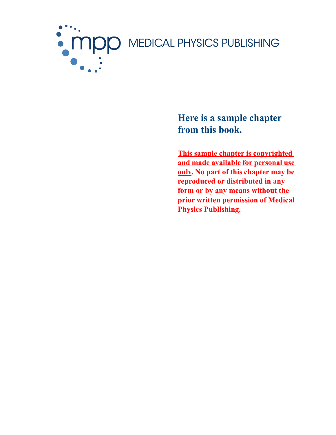

**Here is a sample chapter from this book.**

**This sample chapter is copyrighted and made available for personal use only. No part of this chapter may be reproduced or distributed in any form or by any means without the prior written permission of Medical Physics Publishing.**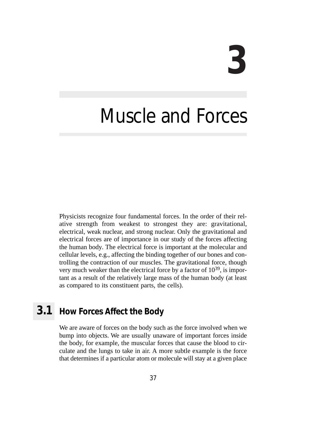# **3**

### Muscle and Forces

Physicists recognize four fundamental forces. In the order of their relative strength from weakest to strongest they are: gravitational, electrical, weak nuclear, and strong nuclear. Only the gravitational and electrical forces are of importance in our study of the forces affecting the human body. The electrical force is important at the molecular and cellular levels, e.g., affecting the binding together of our bones and controlling the contraction of our muscles. The gravitational force, though very much weaker than the electrical force by a factor of  $10^{39}$ , is important as a result of the relatively large mass of the human body (at least as compared to its constituent parts, the cells).

### **3.1 How Forces Affect the Body**

We are aware of forces on the body such as the force involved when we bump into objects. We are usually unaware of important forces inside the body, for example, the muscular forces that cause the blood to circulate and the lungs to take in air. A more subtle example is the force that determines if a particular atom or molecule will stay at a given place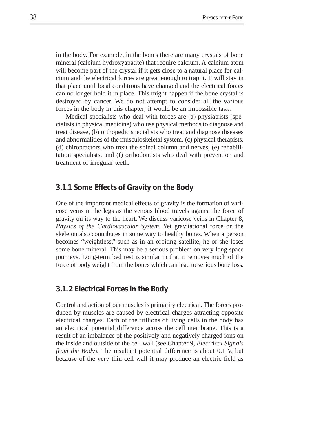in the body. For example, in the bones there are many crystals of bone mineral (calcium hydroxyapatite) that require calcium. A calcium atom will become part of the crystal if it gets close to a natural place for calcium and the electrical forces are great enough to trap it. It will stay in that place until local conditions have changed and the electrical forces can no longer hold it in place. This might happen if the bone crystal is destroyed by cancer. We do not attempt to consider all the various forces in the body in this chapter; it would be an impossible task.

Medical specialists who deal with forces are (a) physiatrists (specialists in physical medicine) who use physical methods to diagnose and treat disease, (b) orthopedic specialists who treat and diagnose diseases and abnormalities of the musculoskeletal system, (c) physical therapists, (d) chiropractors who treat the spinal column and nerves, (e) rehabilitation specialists, and (f) orthodontists who deal with prevention and treatment of irregular teeth.

#### **3.1.1 Some Effects of Gravity on the Body**

One of the important medical effects of gravity is the formation of varicose veins in the legs as the venous blood travels against the force of gravity on its way to the heart. We discuss varicose veins in Chapter 8, *Physics of the Cardiovascular System*. Yet gravitational force on the skeleton also contributes in some way to healthy bones. When a person becomes "weightless," such as in an orbiting satellite, he or she loses some bone mineral. This may be a serious problem on very long space journeys. Long-term bed rest is similar in that it removes much of the force of body weight from the bones which can lead to serious bone loss.

#### **3.1. 2 Electrical Forces in the Body**

Control and action of our muscles is primarily electrical. The forces produced by muscles are caused by electrical charges attracting opposite electrical charges. Each of the trillions of living cells in the body has an electrical potential difference across the cell membrane. This is a result of an imbalance of the positively and negatively charged ions on the inside and outside of the cell wall (see Chapter 9, *Electrical Signals from the Body*). The resultant potential difference is about 0.1 V, but because of the very thin cell wall it may produce an electric field as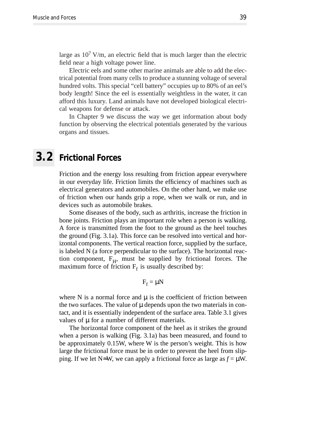large as  $10^7$  V/m, an electric field that is much larger than the electric field near a high voltage power line.

Electric eels and some other marine animals are able to add the electrical potential from many cells to produce a stunning voltage of several hundred volts. This special "cell battery" occupies up to 80% of an eel's body length! Since the eel is essentially weightless in the water, it can afford this luxury. Land animals have not developed biological electrical weapons for defense or attack.

In Chapter 9 we discuss the way we get information about body function by observing the electrical potentials generated by the various organs and tissues.

### **3. 2 Frictional Forces**

Friction and the energy loss resulting from friction appear everywhere in our everyday life. Friction limits the efficiency of machines such as electrical generators and automobiles. On the other hand, we make use of friction when our hands grip a rope, when we walk or run, and in devices such as automobile brakes.

Some diseases of the body, such as arthritis, increase the friction in bone joints. Friction plays an important role when a person is walking. A force is transmitted from the foot to the ground as the heel touches the ground (Fig. 3.1a). This force can be resolved into vertical and horizontal components. The vertical reaction force, supplied by the surface, is labeled N (a force perpendicular to the surface). The horizontal reaction component,  $F_H$ , must be supplied by frictional forces. The maximum force of friction  $F_f$  is usually described by:

$$
F_f = \mu N
$$

where N is a normal force and  $\mu$  is the coefficient of friction between the two surfaces. The value of  $\mu$  depends upon the two materials in contact, and it is essentially independent of the surface area. Table 3.1 gives values of  $\mu$  for a number of different materials.

The horizontal force component of the heel as it strikes the ground when a person is walking (Fig. 3.1a) has been measured, and found to be approximately 0.15W, where W is the person's weight. This is how large the frictional force must be in order to prevent the heel from slipping. If we let N≈W, we can apply a frictional force as large as  $f = μW$ .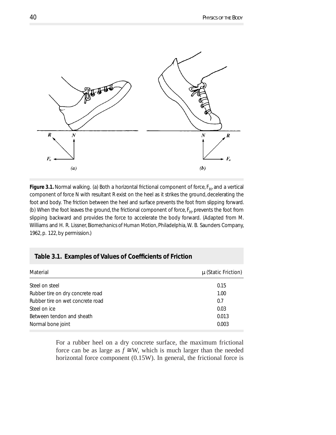

**Figure 3.1.** Normal walking. (a) Both a horizontal frictional component of force,  $F_H$ , and a vertical component of force N with resultant R exist on the heel as it strikes the ground, decelerating the foot and body. The friction between the heel and surface prevents the foot from slipping forward. (b) When the foot leaves the ground, the frictional component of force,  $F_H$ , prevents the foot from slipping backward and provides the force to accelerate the body forward. (Adapted from M. Williams and H. R. Lissner, *Biomechanics of Human Motion*, Philadelphia, W. B. Saunders Company, 1962, p. 122, by permission.)

#### **Table 3.1. Examples of Values of Coefficients of Friction**

| $\mu$ (Static Friction) |
|-------------------------|
| 0.15                    |
| 1.00                    |
| 0.7                     |
| 0.03                    |
| 0.013                   |
| 0.003                   |
|                         |

For a rubber heel on a dry concrete surface, the maximum frictional force can be as large as  $f \equiv W$ , which is much larger than the needed horizontal force component (0.15W). In general, the frictional force is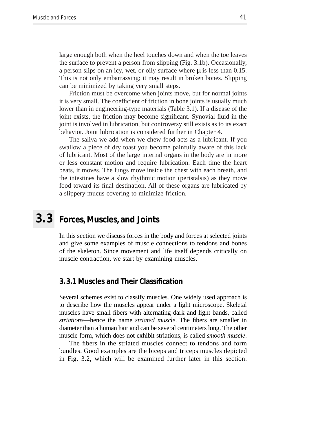large enough both when the heel touches down and when the toe leaves the surface to prevent a person from slipping (Fig. 3.1b). Occasionally, a person slips on an icy, wet, or oily surface where  $\mu$  is less than 0.15. This is not only embarrassing; it may result in broken bones. Slipping can be minimized by taking very small steps.

Friction must be overcome when joints move, but for normal joints it is very small. The coefficient of friction in bone joints is usually much lower than in engineering-type materials (Table 3.1). If a disease of the joint exists, the friction may become significant. Synovial fluid in the joint is involved in lubrication, but controversy still exists as to its exact behavior. Joint lubrication is considered further in Chapter 4.

The saliva we add when we chew food acts as a lubricant. If you swallow a piece of dry toast you become painfully aware of this lack of lubricant. Most of the large internal organs in the body are in more or less constant motion and require lubrication. Each time the heart beats, it moves. The lungs move inside the chest with each breath, and the intestines have a slow rhythmic motion (peristalsis) as they move food toward its final destination. All of these organs are lubricated by a slippery mucus covering to minimize friction.

### **3. 3 Forces, Muscles, and Joints**

In this section we discuss forces in the body and forces at selected joints and give some examples of muscle connections to tendons and bones of the skeleton. Since movement and life itself depends critically on muscle contraction, we start by examining muscles.

#### **3. 3.1 Muscles and Their Classification**

Several schemes exist to classify muscles. One widely used approach is to describe how the muscles appear under a light microscope. Skeletal muscles have small fibers with alternating dark and light bands, called *striations*—hence the name *striated muscle*. The fibers are smaller in diameter than a human hair and can be several centimeters long. The other muscle form, which does not exhibit striations, is called *smooth muscle*.

The fibers in the striated muscles connect to tendons and form bundles. Good examples are the biceps and triceps muscles depicted in Fig. 3.2, which will be examined further later in this section.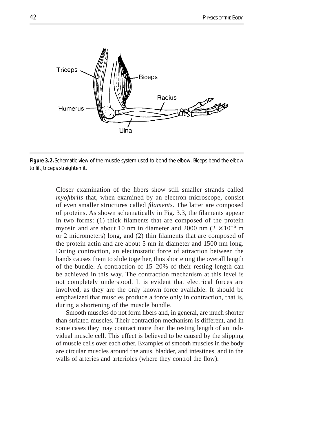

**Figure 3.2.** Schematic view of the muscle system used to bend the elbow. Biceps bend the elbow to lift, triceps straighten it.

Closer examination of the fibers show still smaller strands called *myofibrils* that, when examined by an electron microscope, consist of even smaller structures called *filaments*. The latter are composed of proteins. As shown schematically in Fig. 3.3, the filaments appear in two forms: (1) thick filaments that are composed of the protein myosin and are about 10 nm in diameter and 2000 nm  $(2 \times 10^{-6}$  m or 2 micrometers) long, and (2) thin filaments that are composed of the protein actin and are about 5 nm in diameter and 1500 nm long. During contraction, an electrostatic force of attraction between the bands causes them to slide together, thus shortening the overall length of the bundle. A contraction of 15–20% of their resting length can be achieved in this way. The contraction mechanism at this level is not completely understood. It is evident that electrical forces are involved, as they are the only known force available. It should be emphasized that muscles produce a force only in contraction, that is, during a shortening of the muscle bundle.

Smooth muscles do not form fibers and, in general, are much shorter than striated muscles. Their contraction mechanism is different, and in some cases they may contract more than the resting length of an individual muscle cell. This effect is believed to be caused by the slipping of muscle cells over each other. Examples of smooth muscles in the body are circular muscles around the anus, bladder, and intestines, and in the walls of arteries and arterioles (where they control the flow).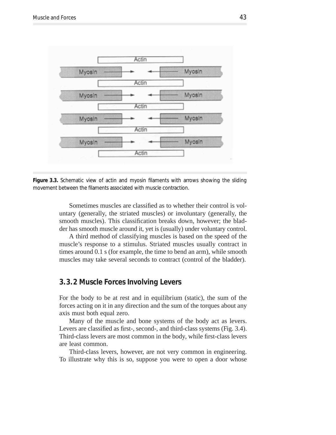

**Figure 3.3.** Schematic view of actin and myosin filaments with arrows showing the sliding movement between the filaments associated with muscle contraction.

Sometimes muscles are classified as to whether their control is voluntary (generally, the striated muscles) or involuntary (generally, the smooth muscles). This classification breaks down, however; the bladder has smooth muscle around it, yet is (usually) under voluntary control.

A third method of classifying muscles is based on the speed of the muscle's response to a stimulus. Striated muscles usually contract in times around 0.1 s (for example, the time to bend an arm), while smooth muscles may take several seconds to contract (control of the bladder).

#### **3. 3. 2 Muscle Forces Involving Levers**

For the body to be at rest and in equilibrium (static), the sum of the forces acting on it in any direction and the sum of the torques about any axis must both equal zero.

Many of the muscle and bone systems of the body act as levers. Levers are classified as first-, second-, and third-class systems (Fig. 3.4). Third-class levers are most common in the body, while first-class levers are least common.

Third-class levers, however, are not very common in engineering. To illustrate why this is so, suppose you were to open a door whose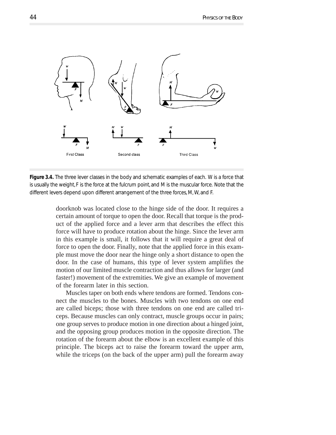

*Figure 3.4.* The three lever classes in the body and schematic examples of each. W is a force that is usually the weight, F is the force at the fulcrum point, and M is the muscular force. Note that the different levers depend upon different arrangement of the three forces, M, W, and F.

doorknob was located close to the hinge side of the door. It requires a certain amount of torque to open the door. Recall that torque is the product of the applied force and a lever arm that describes the effect this force will have to produce rotation about the hinge. Since the lever arm in this example is small, it follows that it will require a great deal of force to open the door. Finally, note that the applied force in this example must move the door near the hinge only a short distance to open the door. In the case of humans, this type of lever system amplifies the motion of our limited muscle contraction and thus allows for larger (and faster!) movement of the extremities. We give an example of movement of the forearm later in this section.

Muscles taper on both ends where tendons are formed. Tendons connect the muscles to the bones. Muscles with two tendons on one end are called biceps; those with three tendons on one end are called triceps. Because muscles can only contract, muscle groups occur in pairs; one group serves to produce motion in one direction about a hinged joint, and the opposing group produces motion in the opposite direction. The rotation of the forearm about the elbow is an excellent example of this principle. The biceps act to raise the forearm toward the upper arm, while the triceps (on the back of the upper arm) pull the forearm away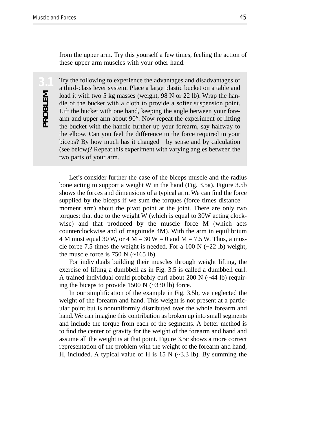from the upper arm. Try this yourself a few times, feeling the action of these upper arm muscles with your other hand.

PROBLEM **PROBLEM**

**3.1** Try the following to experience the advantages and disadvantages of a third-class lever system. Place a large plastic bucket on a table and load it with two 5 kg masses (weight, 98 N or 22 lb). Wrap the handle of the bucket with a cloth to provide a softer suspension point. Lift the bucket with one hand, keeping the angle between your forearm and upper arm about 90°. Now repeat the experiment of lifting the bucket with the handle further up your forearm, say halfway to the elbow. Can you feel the difference in the force required in your biceps? By how much has it changed—by sense and by calculation (see below)? Repeat this experiment with varying angles between the two parts of your arm.

Let's consider further the case of the biceps muscle and the radius bone acting to support a weight W in the hand (Fig. 3.5a). Figure 3.5b shows the forces and dimensions of a typical arm. We can find the force supplied by the biceps if we sum the torques (force times distance moment arm) about the pivot point at the joint. There are only two torques: that due to the weight W (which is equal to 30W acting clockwise) and that produced by the muscle force M (which acts counterclockwise and of magnitude 4M). With the arm in equilibrium 4 M must equal 30 W, or  $4 M - 30 W = 0$  and  $M = 7.5 W$ . Thus, a muscle force 7.5 times the weight is needed. For a 100 N  $(\sim 22 \text{ lb})$  weight, the muscle force is  $750 \text{ N}$  (~165 lb).

For individuals building their muscles through weight lifting, the exercise of lifting a dumbbell as in Fig. 3.5 is called a dumbbell curl. A trained individual could probably curl about 200 N (~44 lb) requiring the biceps to provide  $1500 \text{ N}$  (~330 lb) force.

In our simplification of the example in Fig. 3.5b, we neglected the weight of the forearm and hand. This weight is not present at a particular point but is nonuniformly distributed over the whole forearm and hand. We can imagine this contribution as broken up into small segments and include the torque from each of the segments. A better method is to find the center of gravity for the weight of the forearm and hand and assume all the weight is at that point. Figure 3.5c shows a more correct representation of the problem with the weight of the forearm and hand, H, included. A typical value of H is  $15 \text{ N}$  ( $\sim$ 3.3 lb). By summing the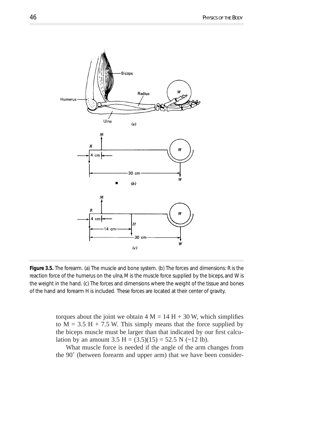

*Figure 3.5.* The forearm. (a) The muscle and bone system. (b) The forces and dimensions: R is the reaction force of the humerus on the ulna, M is the muscle force supplied by the biceps, and W is the weight in the hand. (c) The forces and dimensions where the weight of the tissue and bones of the hand and forearm H is included. These forces are located at their center of gravity.

torques about the joint we obtain  $4 M = 14 H + 30 W$ , which simplifies to  $M = 3.5$  H + 7.5 W. This simply means that the force supplied by the biceps muscle must be larger than that indicated by our first calculation by an amount 3.5 H =  $(3.5)(15) = 52.5$  N (~12 lb).

What muscle force is needed if the angle of the arm changes from the 90˚ (between forearm and upper arm) that we have been consider-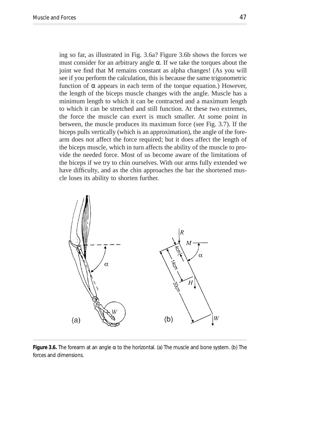ing so far, as illustrated in Fig. 3.6a? Figure 3.6b shows the forces we must consider for an arbitrary angle  $\alpha$ . If we take the torques about the joint we find that M remains constant as alpha changes! (As you will see if you perform the calculation, this is because the same trigonometric function of α appears in each term of the torque equation.) However, the length of the biceps muscle changes with the angle. Muscle has a minimum length to which it can be contracted and a maximum length to which it can be stretched and still function. At these two extremes, the force the muscle can exert is much smaller. At some point in between, the muscle produces its maximum force (see Fig. 3.7). If the biceps pulls vertically (which is an approximation), the angle of the forearm does not affect the force required; but it does affect the length of the biceps muscle, which in turn affects the ability of the muscle to provide the needed force. Most of us become aware of the limitations of the biceps if we try to chin ourselves. With our arms fully extended we have difficulty, and as the chin approaches the bar the shortened muscle loses its ability to shorten further.



*Figure* 3.6. The forearm at an angle  $\alpha$  to the horizontal. (a) The muscle and bone system. (b) The forces and dimensions.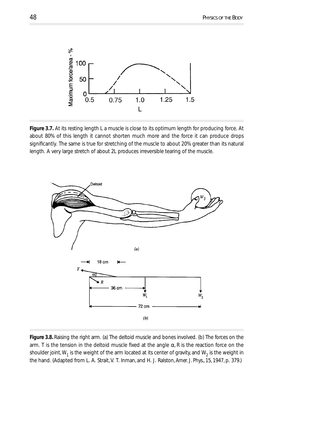

**Figure 3.7.** At its resting length L a muscle is close to its optimum length for producing force. At about 80% of this length it cannot shorten much more and the force it can produce drops significantly. The same is true for stretching of the muscle to about 20% greater than its natural length. A very large stretch of about 2L produces irreversible tearing of the muscle.



*Figure 3.8.* Raising the right arm. (a) The deltoid muscle and bones involved. (b) The forces on the arm. T is the tension in the deltoid muscle fixed at the angle  $\alpha$ , R is the reaction force on the shoulder joint,  $W_1$  is the weight of the arm located at its center of gravity, and  $W_2$  is the weight in the hand. (Adapted from L. A. Strait, V. T. Inman, and H. J. Ralston, *Amer. J. Phys*., 15, 1947, p. 379.)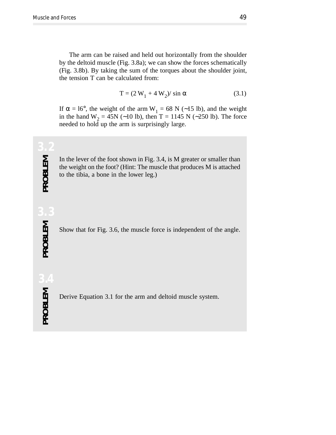The arm can be raised and held out horizontally from the shoulder by the deltoid muscle (Fig. 3.8a); we can show the forces schematically (Fig. 3.8b). By taking the sum of the torques about the shoulder joint, the tension T can be calculated from:

$$
T = (2 W_1 + 4 W_2) / \sin \alpha \tag{3.1}
$$

If  $\alpha = 16^{\circ}$ , the weight of the arm W<sub>1</sub> = 68 N (∼15 lb), and the weight in the hand W<sub>2</sub> = 45N (∼10 lb), then T = 1145 N (∼250 lb). The force needed to hold up the arm is surprisingly large.

In the lever of the foot shown in Fig. 3.4, is M greater or smaller than the weight on the foot? (Hint: The muscle that produces M is attached to the tibia, a bone in the lower leg.)

# PROBLEM **PROBLEM**

Show that for Fig. 3.6, the muscle force is independent of the angle.

# PROBLEM **PROBLEM**

Derive Equation 3.1 for the arm and deltoid muscle system.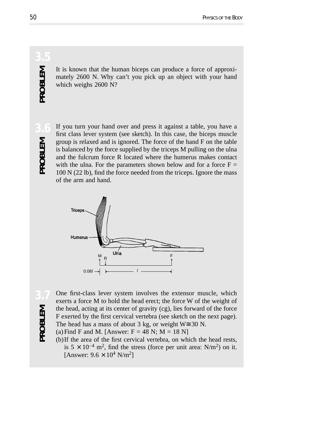# PROBLEM **PROBLEM**

It is known that the human biceps can produce a force of approximately 2600 N. Why can't you pick up an object with your hand which weighs 2600 N?

PROBLEM **PROBLEM**

**3.6** If you turn your hand over and press it against a table, you have a first class lever system (see sketch). In this case, the biceps muscle group is relaxed and is ignored. The force of the hand F on the table is balanced by the force supplied by the triceps M pulling on the ulna and the fulcrum force R located where the humerus makes contact with the ulna. For the parameters shown below and for a force  $F =$ 100 N (22 lb), find the force needed from the triceps. Ignore the mass of the arm and hand.



PROBLEM **PROBLEM**

One first-class lever system involves the extensor muscle, which exerts a force M to hold the head erect; the force W of the weight of the head, acting at its center of gravity (cg), lies forward of the force F exerted by the first cervical vertebra (see sketch on the next page). The head has a mass of about 3 kg, or weight  $W \cong 30$  N.

(a) Find F and M. [Answer:  $F = 48$  N; M = 18 N]

(b)If the area of the first cervical vertebra, on which the head rests, is  $5 \times 10^{-4}$  m<sup>2</sup>, find the stress (force per unit area: N/m<sup>2</sup>) on it. [Answer:  $9.6 \times 10^4$  N/m<sup>2</sup>]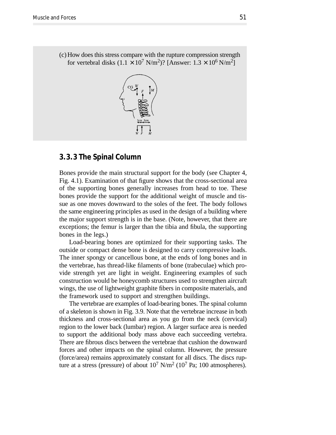(c)How does this stress compare with the rupture compression strength for vertebral disks  $(1.1 \times 10^7 \text{ N/m}^2)$ ? [Answer:  $1.3 \times 10^6 \text{ N/m}^2$ ]



#### **3. 3. 3 The Spinal Column**

Bones provide the main structural support for the body (see Chapter 4, Fig. 4.1). Examination of that figure shows that the cross-sectional area of the supporting bones generally increases from head to toe. These bones provide the support for the additional weight of muscle and tissue as one moves downward to the soles of the feet. The body follows the same engineering principles as used in the design of a building where the major support strength is in the base. (Note, however, that there are exceptions; the femur is larger than the tibia and fibula, the supporting bones in the legs.)

Load-bearing bones are optimized for their supporting tasks. The outside or compact dense bone is designed to carry compressive loads. The inner spongy or cancellous bone, at the ends of long bones and in the vertebrae, has thread-like filaments of bone (trabeculae) which provide strength yet are light in weight. Engineering examples of such construction would be honeycomb structures used to strengthen aircraft wings, the use of lightweight graphite fibers in composite materials, and the framework used to support and strengthen buildings.

The vertebrae are examples of load-bearing bones. The spinal column of a skeleton is shown in Fig. 3.9. Note that the vertebrae increase in both thickness and cross-sectional area as you go from the neck (cervical) region to the lower back (lumbar) region. A larger surface area is needed to support the additional body mass above each succeeding vertebra. There are fibrous discs between the vertebrae that cushion the downward forces and other impacts on the spinal column. However, the pressure (force/area) remains approximately constant for all discs. The discs rupture at a stress (pressure) of about  $10^7$  N/m<sup>2</sup> ( $10^7$  Pa; 100 atmospheres).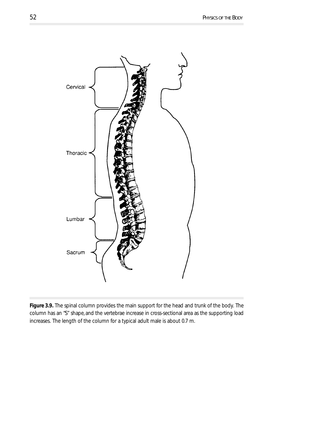

*Figure 3.9.* The spinal column provides the main support for the head and trunk of the body. The column has an "S" shape, and the vertebrae increase in cross-sectional area as the supporting load increases. The length of the column for a typical adult male is about 0.7 m.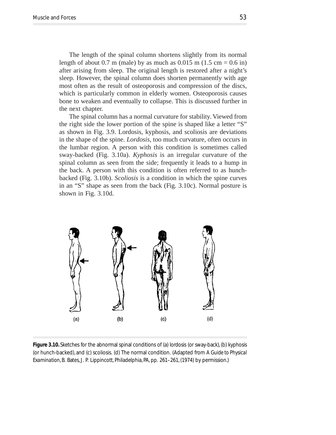The length of the spinal column shortens slightly from its normal length of about 0.7 m (male) by as much as  $0.015$  m (1.5 cm = 0.6 in) after arising from sleep. The original length is restored after a night's sleep. However, the spinal column does shorten permanently with age most often as the result of osteoporosis and compression of the discs, which is particularly common in elderly women. Osteoporosis causes bone to weaken and eventually to collapse. This is discussed further in the next chapter.

The spinal column has a normal curvature for stability. Viewed from the right side the lower portion of the spine is shaped like a letter "S" as shown in Fig. 3.9. Lordosis, kyphosis, and scoliosis are deviations in the shape of the spine. *Lordosis*, too much curvature, often occurs in the lumbar region. A person with this condition is sometimes called sway-backed (Fig. 3.10a). *Kyphosis* is an irregular curvature of the spinal column as seen from the side; frequently it leads to a hump in the back. A person with this condition is often referred to as hunchbacked (Fig. 3.10b). *Scoliosis* is a condition in which the spine curves in an "S" shape as seen from the back (Fig. 3.10c). Normal posture is shown in Fig. 3.10d.



*Figure* 3.10. Sketches for the abnormal spinal conditions of (a) lordosis (or sway-back), (b) kyphosis (or hunch-backed), and (c) scoliosis. (d) The normal condition. (Adapted from *A Guide to Physical Examination*, B. Bates, J. P. Lippincott, Philadelphia, PA, pp. 261–261, (1974) by permission.)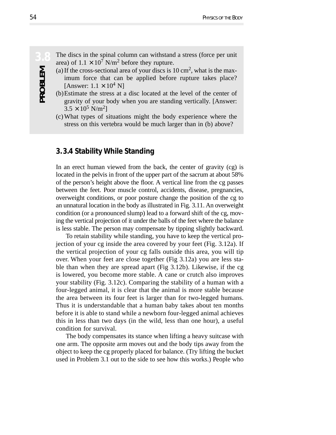- area) of  $1.1 \times 10^7$  N/m<sup>2</sup> before they rupture. **PROBLEM**
- **3.8** The discs in the spinal column can withstand a stress (force per unit area) of  $1.1 \times 10^7$  N/m<sup>2</sup> before they rupture.<br>
(a) If the cross-sectional area of your discs is 10 cm<sup>2</sup>, what is the maximum force that can (a) If the cross-sectional area of your discs is  $10 \text{ cm}^2$ , what is the maximum force that can be applied before rupture takes place? [Answer:  $1.1 \times 10^4$  N]
	- (b)Estimate the stress at a disc located at the level of the center of gravity of your body when you are standing vertically. [Answer:  $3.5 \times 10^5$  N/m<sup>2</sup>]
	- (c) What types of situations might the body experience where the stress on this vertebra would be much larger than in (b) above?

#### **3. 3.4 Stability While Standing**

In an erect human viewed from the back, the center of gravity (cg) is located in the pelvis in front of the upper part of the sacrum at about 58% of the person's height above the floor. A vertical line from the cg passes between the feet. Poor muscle control, accidents, disease, pregnancies, overweight conditions, or poor posture change the position of the cg to an unnatural location in the body as illustrated in Fig. 3.11. An overweight condition (or a pronounced slump) lead to a forward shift of the cg, moving the vertical projection of it under the balls of the feet where the balance is less stable. The person may compensate by tipping slightly backward.

To retain stability while standing, you have to keep the vertical projection of your cg inside the area covered by your feet (Fig. 3.12a). If the vertical projection of your cg falls outside this area, you will tip over. When your feet are close together (Fig 3.12a) you are less stable than when they are spread apart (Fig 3.12b). Likewise, if the cg is lowered, you become more stable. A cane or crutch also improves your stability (Fig. 3.12c). Comparing the stability of a human with a four-legged animal, it is clear that the animal is more stable because the area between its four feet is larger than for two-legged humans. Thus it is understandable that a human baby takes about ten months before it is able to stand while a newborn four-legged animal achieves this in less than two days (in the wild, less than one hour), a useful condition for survival.

The body compensates its stance when lifting a heavy suitcase with one arm. The opposite arm moves out and the body tips away from the object to keep the cg properly placed for balance. (Try lifting the bucket used in Problem 3.1 out to the side to see how this works.) People who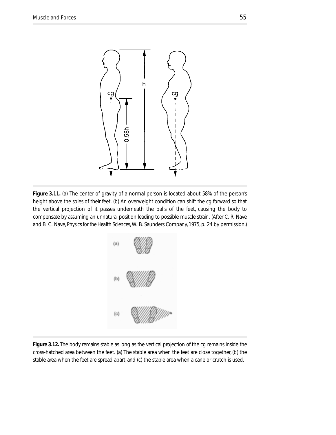

**Figure 3.11.** (a) The center of gravity of a normal person is located about 58% of the person's height above the soles of their feet. (b) An overweight condition can shift the cg forward so that the vertical projection of it passes underneath the balls of the feet, causing the body to compensate by assuming an unnatural position leading to possible muscle strain. (After C. R. Nave and B. C. Nave, *Physics for the Health Sciences*, W. B. Saunders Company, 1975, p. 24 by permission.)



**Figure 3.12.** The body remains stable as long as the vertical projection of the cg remains inside the cross-hatched area between the feet. (a) The stable area when the feet are close together, (b) the stable area when the feet are spread apart, and (c) the stable area when a cane or crutch is used.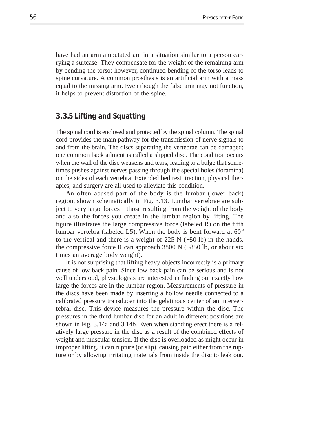have had an arm amputated are in a situation similar to a person carrying a suitcase. They compensate for the weight of the remaining arm by bending the torso; however, continued bending of the torso leads to spine curvature. A common prosthesis is an artificial arm with a mass equal to the missing arm. Even though the false arm may not function, it helps to prevent distortion of the spine.

#### **3. 3.5 Lifting and Squatting**

The spinal cord is enclosed and protected by the spinal column. The spinal cord provides the main pathway for the transmission of nerve signals to and from the brain. The discs separating the vertebrae can be damaged; one common back ailment is called a slipped disc. The condition occurs when the wall of the disc weakens and tears, leading to a bulge that sometimes pushes against nerves passing through the special holes (foramina) on the sides of each vertebra. Extended bed rest, traction, physical therapies, and surgery are all used to alleviate this condition.

An often abused part of the body is the lumbar (lower back) region, shown schematically in Fig. 3.13. Lumbar vertebrae are subject to very large forces—those resulting from the weight of the body and also the forces you create in the lumbar region by lifting. The figure illustrates the large compressive force (labeled R) on the fifth lumbar vertebra (labeled L5). When the body is bent forward at 60° to the vertical and there is a weight of 225 N (∼50 lb) in the hands, the compressive force R can approach 3800 N (∼850 lb, or about six times an average body weight).

It is not surprising that lifting heavy objects incorrectly is a primary cause of low back pain. Since low back pain can be serious and is not well understood, physiologists are interested in finding out exactly how large the forces are in the lumbar region. Measurements of pressure in the discs have been made by inserting a hollow needle connected to a calibrated pressure transducer into the gelatinous center of an intervertebral disc. This device measures the pressure within the disc. The pressures in the third lumbar disc for an adult in different positions are shown in Fig. 3.14a and 3.14b. Even when standing erect there is a relatively large pressure in the disc as a result of the combined effects of weight and muscular tension. If the disc is overloaded as might occur in improper lifting, it can rupture (or slip), causing pain either from the rupture or by allowing irritating materials from inside the disc to leak out.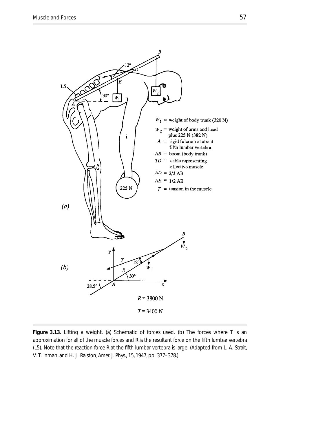

Figure 3.13. Lifting a weight. (a) Schematic of forces used. (b) The forces where T is an approximation for all of the muscle forces and R is the resultant force on the fifth lumbar vertebra (L5). Note that the reaction force R at the fifth lumbar vertebra is large. (Adapted from L. A. Strait, V. T. Inman, and H. J. Ralston, *Amer. J. Phys.,* 15, 1947, pp. 377–378.)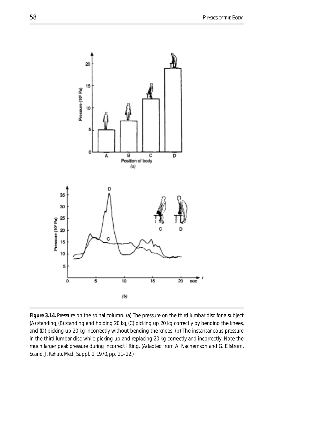

**Figure 3.14.** Pressure on the spinal column. (a) The pressure on the third lumbar disc for a subject (A) standing, (B) standing and holding 20 kg, (C) picking up 20 kg correctly by bending the knees, and (D) picking up 20 kg incorrectly without bending the knees. (b) The instantaneous pressure in the third lumbar disc while picking up and replacing 20 kg correctly and incorrectly. Note the much larger peak pressure during incorrect lifting. (Adapted from A. Nachemson and G. Elfstrom, *Scand. J. Rehab. Med*., Suppl. 1, 1970, pp. 21–22.)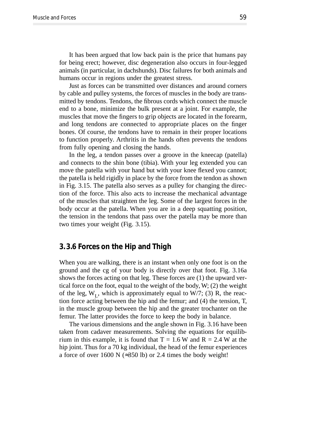It has been argued that low back pain is the price that humans pay for being erect; however, disc degeneration also occurs in four-legged animals (in particular, in dachshunds). Disc failures for both animals and humans occur in regions under the greatest stress.

Just as forces can be transmitted over distances and around corners by cable and pulley systems, the forces of muscles in the body are transmitted by tendons. Tendons, the fibrous cords which connect the muscle end to a bone, minimize the bulk present at a joint. For example, the muscles that move the fingers to grip objects are located in the forearm, and long tendons are connected to appropriate places on the finger bones. Of course, the tendons have to remain in their proper locations to function properly. Arthritis in the hands often prevents the tendons from fully opening and closing the hands.

In the leg, a tendon passes over a groove in the kneecap (patella) and connects to the shin bone (tibia). With your leg extended you can move the patella with your hand but with your knee flexed you cannot; the patella is held rigidly in place by the force from the tendon as shown in Fig. 3.15. The patella also serves as a pulley for changing the direction of the force. This also acts to increase the mechanical advantage of the muscles that straighten the leg. Some of the largest forces in the body occur at the patella. When you are in a deep squatting position, the tension in the tendons that pass over the patella may be more than two times your weight (Fig. 3.15).

#### **3. 3.6 Forces on the Hip and Thigh**

When you are walking, there is an instant when only one foot is on the ground and the cg of your body is directly over that foot. Fig. 3.16a shows the forces acting on that leg. These forces are (1) the upward vertical force on the foot, equal to the weight of the body, W; (2) the weight of the leg,  $W<sub>L</sub>$ , which is approximately equal to W/7; (3) R, the reaction force acting between the hip and the femur; and (4) the tension, T, in the muscle group between the hip and the greater trochanter on the femur. The latter provides the force to keep the body in balance.

The various dimensions and the angle shown in Fig. 3.16 have been taken from cadaver measurements. Solving the equations for equilibrium in this example, it is found that  $T = 1.6$  W and  $R = 2.4$  W at the hip joint. Thus for a 70 kg individual, the head of the femur experiences a force of over 1600 N ( $\approx$ 350 lb) or 2.4 times the body weight!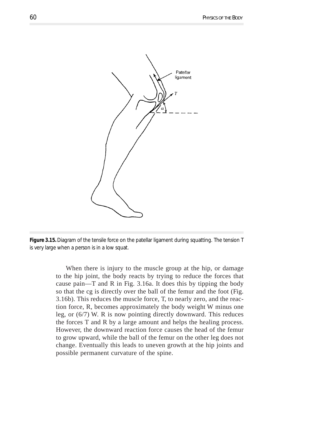

*Figure 3.15.* Diagram of the tensile force on the patellar ligament during squatting. The tension T is very large when a person is in a low squat.

When there is injury to the muscle group at the hip, or damage to the hip joint, the body reacts by trying to reduce the forces that cause pain—T and R in Fig. 3.16a. It does this by tipping the body so that the cg is directly over the ball of the femur and the foot (Fig. 3.16b). This reduces the muscle force, T, to nearly zero, and the reaction force, R, becomes approximately the body weight W minus one leg, or (6/7) W. R is now pointing directly downward. This reduces the forces T and R by a large amount and helps the healing process. However, the downward reaction force causes the head of the femur to grow upward, while the ball of the femur on the other leg does not change. Eventually this leads to uneven growth at the hip joints and possible permanent curvature of the spine.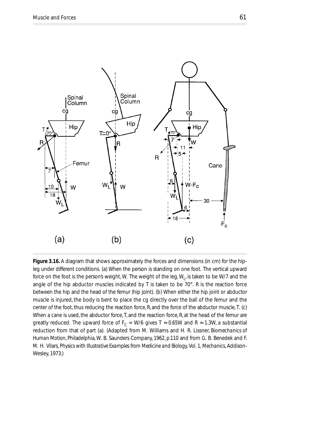

*Figure 3.16.* A diagram that shows approximately the forces and dimensions (in cm) for the hipleg under different conditions. (a) When the person is standing on one foot. The vertical upward force on the foot is the person's weight, W. The weight of the leg,  $W_{\parallel}$ , is taken to be W/7 and the angle of the hip abductor muscles indicated by T is taken to be 70°. R is the reaction force between the hip and the head of the femur (hip joint). (b) When either the hip joint or abductor muscle is injured, the body is bent to place the cg directly over the ball of the femur and the center of the foot, thus reducing the reaction force, R, and the force of the abductor muscle, T. (c) When a cane is used, the abductor force, T, and the reaction force, R, at the head of the femur are greatly reduced. The upward force of  $F_C = W/6$  gives T  $\approx 0.65W$  and R  $\approx 1.3W$ , a substantial reduction from that of part (a). (Adapted from M. Williams and H. R. Lissner, *Biomechanics of Human Motion*, Philadelphia, W. B. Saunders Company, 1962, p.110 and from G. B. Benedek and F. M. H. Vilars, *Physics with Illustrative Examples from Medicine and Biology, Vol. 1, Mechanics*, Addison-Wesley, 1973.)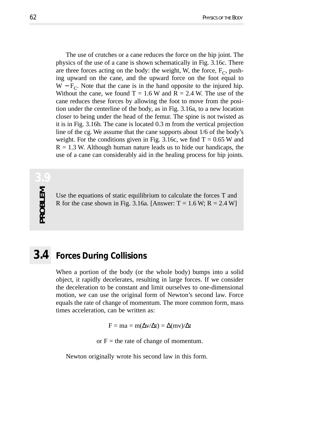The use of crutches or a cane reduces the force on the hip joint. The physics of the use of a cane is shown schematically in Fig. 3.16c. There are three forces acting on the body: the weight, W, the force,  $F_C$ , pushing upward on the cane, and the upward force on the foot equal to  $W - F_C$ . Note that the cane is in the hand opposite to the injured hip. Without the cane, we found  $T = 1.6$  W and  $R = 2.4$  W. The use of the cane reduces these forces by allowing the foot to move from the position under the centerline of the body, as in Fig. 3.16a, to a new location closer to being under the head of the femur. The spine is not twisted as it is in Fig. 3.16b. The cane is located 0.3 m from the vertical projection line of the cg. We assume that the cane supports about 1/6 of the body's weight. For the conditions given in Fig. 3.16c, we find  $T = 0.65$  W and  $R = 1.3$  W. Although human nature leads us to hide our handicaps, the use of a cane can considerably aid in the healing process for hip joints.

Use the equations of static equilibrium to calculate the forces T and R for the case shown in Fig. 3.16a. [Answer:  $T = 1.6$  W; R = 2.4 W]

### **3.4 Forces During Collisions**

When a portion of the body (or the whole body) bumps into a solid object, it rapidly decelerates, resulting in large forces. If we consider the deceleration to be constant and limit ourselves to one-dimensional motion, we can use the original form of Newton's second law. Force equals the rate of change of momentum. The more common form, mass times acceleration, can be written as:

 $F = ma = m(\Delta v/\Delta t) = \Delta (mv)/\Delta t$ 

or  $F =$  the rate of change of momentum.

Newton originally wrote his second law in this form.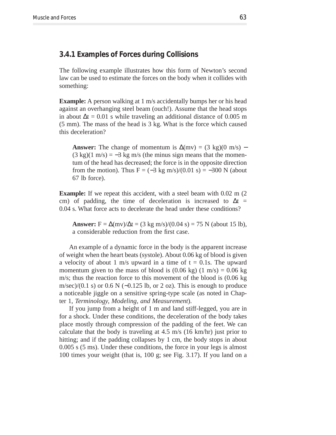#### **3.4.1 Examples of Forces during Collisions**

The following example illustrates how this form of Newton's second law can be used to estimate the forces on the body when it collides with something:

**Example:** A person walking at 1 m/s accidentally bumps her or his head against an overhanging steel beam (ouch!). Assume that the head stops in about  $\Delta t = 0.01$  s while traveling an additional distance of 0.005 m (5 mm). The mass of the head is 3 kg. What is the force which caused this deceleration?

**Answer:** The change of momentum is  $\Delta$ (mv) = (3 kg)(0 m/s) –  $(3 \text{ kg})(1 \text{ m/s}) = -3 \text{ kg m/s}$  (the minus sign means that the momentum of the head has decreased; the force is in the opposite direction from the motion). Thus  $F = (-3 \text{ kg m/s})/(0.01 \text{ s}) = -300 \text{ N}$  (about 67 lb force).

**Example:** If we repeat this accident, with a steel beam with 0.02 m (2) cm) of padding, the time of deceleration is increased to  $\Delta t$  = 0.04 s. What force acts to decelerate the head under these conditions?

**Answer:**  $F = \Delta(mv)/\Delta t = (3 \text{ kg } m/s)/(0.04 \text{ s}) = 75 \text{ N}$  (about 15 lb), a considerable reduction from the first case.

An example of a dynamic force in the body is the apparent increase of weight when the heart beats (systole). About 0.06 kg of blood is given a velocity of about 1 m/s upward in a time of  $t = 0.1$ s. The upward momentum given to the mass of blood is  $(0.06 \text{ kg})$   $(1 \text{ m/s}) = 0.06 \text{ kg}$ m/s; thus the reaction force to this movement of the blood is (0.06 kg m/sec)/(0.1 s) or 0.6 N ( $\sim$ 0.125 lb, or 2 oz). This is enough to produce a noticeable jiggle on a sensitive spring-type scale (as noted in Chapter 1, *Terminology, Modeling, and Measurement*).

If you jump from a height of 1 m and land stiff-legged, you are in for a shock. Under these conditions, the deceleration of the body takes place mostly through compression of the padding of the feet. We can calculate that the body is traveling at 4.5 m/s (16 km/hr) just prior to hitting; and if the padding collapses by 1 cm, the body stops in about 0.005 s (5 ms). Under these conditions, the force in your legs is almost 100 times your weight (that is, 100 g; see Fig. 3.17). If you land on a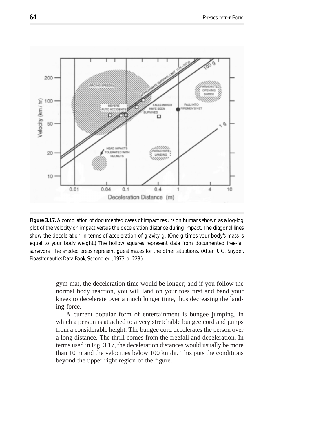

*Figure 3.17.* A compilation of documented cases of impact results on humans shown as a log-log plot of the velocity on impact versus the deceleration distance during impact. The diagonal lines show the deceleration in terms of acceleration of gravity, g. (One g times your body's mass is equal to your body weight.) The hollow squares represent data from documented free-fall survivors. The shaded areas represent guestimates for the other situations. (After R. G. Snyder, *Bioastronautics Data Book*, Second ed., 1973, p. 228.)

gym mat, the deceleration time would be longer; and if you follow the normal body reaction, you will land on your toes first and bend your knees to decelerate over a much longer time, thus decreasing the landing force.

A current popular form of entertainment is bungee jumping, in which a person is attached to a very stretchable bungee cord and jumps from a considerable height. The bungee cord decelerates the person over a long distance. The thrill comes from the freefall and deceleration. In terms used in Fig. 3.17, the deceleration distances would usually be more than 10 m and the velocities below 100 km/hr. This puts the conditions beyond the upper right region of the figure.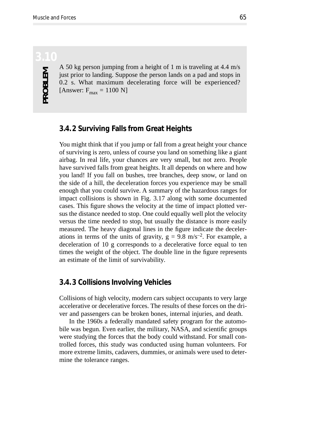A 50 kg person jumping from a height of 1 m is traveling at 4.4 m/s just prior to landing. Suppose the person lands on a pad and stops in 0.2 s. What maximum decelerating force will be experienced? [Answer:  $F_{\text{max}} = 1100 \text{ N}$ ]

#### **3.4. 2 Surviving Falls from Great Heights**

You might think that if you jump or fall from a great height your chance of surviving is zero, unless of course you land on something like a giant airbag. In real life, your chances are very small, but not zero. People have survived falls from great heights. It all depends on where and how you land! If you fall on bushes, tree branches, deep snow, or land on the side of a hill, the deceleration forces you experience may be small enough that you could survive. A summary of the hazardous ranges for impact collisions is shown in Fig. 3.17 along with some documented cases. This figure shows the velocity at the time of impact plotted versus the distance needed to stop. One could equally well plot the velocity versus the time needed to stop, but usually the distance is more easily measured. The heavy diagonal lines in the figure indicate the decelerations in terms of the units of gravity,  $g = 9.8$  m/s<sup>-2</sup>. For example, a deceleration of 10 g corresponds to a decelerative force equal to ten times the weight of the object. The double line in the figure represents an estimate of the limit of survivability.

#### **3.4. 3 Collisions Involving Vehicles**

Collisions of high velocity, modern cars subject occupants to very large accelerative or decelerative forces. The results of these forces on the driver and passengers can be broken bones, internal injuries, and death.

In the 1960s a federally mandated safety program for the automobile was begun. Even earlier, the military, NASA, and scientific groups were studying the forces that the body could withstand. For small controlled forces, this study was conducted using human volunteers. For more extreme limits, cadavers, dummies, or animals were used to determine the tolerance ranges.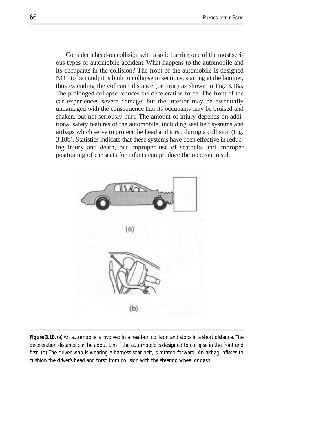Consider a head-on collision with a solid barrier, one of the most serious types of automobile accident. What happens to the automobile and its occupants in the collision? The front of the automobile is designed NOT to be rigid; it is built to collapse in sections, starting at the bumper, thus extending the collision distance (or time) as shown in Fig. 3.18a. The prolonged collapse reduces the deceleration force. The front of the car experiences severe damage, but the interior may be essentially undamaged with the consequence that its occupants may be bruised and shaken, but not seriously hurt. The amount of injury depends on additional safety features of the automobile, including seat belt systems and airbags which serve to protect the head and torso during a collision (Fig. 3.18b). Statistics indicate that these systems have been effective in reducing injury and death, but improper use of seatbelts and improper positioning of car seats for infants can produce the opposite result.



*Figure 3.18.* (a) An automobile is involved in a head-on collision and stops in a short distance. The deceleration distance can be about 1 m if the automobile is designed to collapse in the front end first. (b) The driver, who is wearing a harness seat belt, is rotated forward. An airbag inflates to cushion the driver's head and torso from collision with the steering wheel or dash.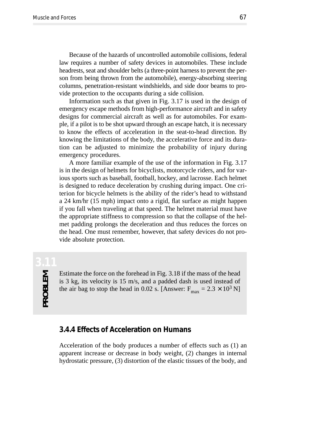Because of the hazards of uncontrolled automobile collisions, federal law requires a number of safety devices in automobiles. These include headrests, seat and shoulder belts (a three-point harness to prevent the person from being thrown from the automobile), energy-absorbing steering columns, penetration-resistant windshields, and side door beams to provide protection to the occupants during a side collision.

Information such as that given in Fig. 3.17 is used in the design of emergency escape methods from high-performance aircraft and in safety designs for commercial aircraft as well as for automobiles. For example, if a pilot is to be shot upward through an escape hatch, it is necessary to know the effects of acceleration in the seat-to-head direction. By knowing the limitations of the body, the accelerative force and its duration can be adjusted to minimize the probability of injury during emergency procedures.

A more familiar example of the use of the information in Fig. 3.17 is in the design of helmets for bicyclists, motorcycle riders, and for various sports such as baseball, football, hockey, and lacrosse. Each helmet is designed to reduce deceleration by crushing during impact. One criterion for bicycle helmets is the ability of the rider's head to withstand a 24 km/hr (15 mph) impact onto a rigid, flat surface as might happen if you fall when traveling at that speed. The helmet material must have the appropriate stiffness to compression so that the collapse of the helmet padding prolongs the deceleration and thus reduces the forces on the head. One must remember, however, that safety devices do not provide absolute protection.

PROBLEM **PROBLEM**

Estimate the force on the forehead in Fig. 3.18 if the mass of the head is 3 kg, its velocity is 15 m/s, and a padded dash is used instead of the air bag to stop the head in 0.02 s. [Answer:  $F_{\text{max}} = 2.3 \times 10^3 \text{ N}$ ]

#### **3.4.4 Effects of Acceleration on Humans**

Acceleration of the body produces a number of effects such as (1) an apparent increase or decrease in body weight, (2) changes in internal hydrostatic pressure, (3) distortion of the elastic tissues of the body, and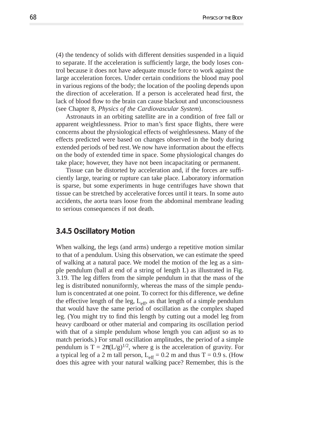(4) the tendency of solids with different densities suspended in a liquid to separate. If the acceleration is sufficiently large, the body loses control because it does not have adequate muscle force to work against the large acceleration forces. Under certain conditions the blood may pool in various regions of the body; the location of the pooling depends upon the direction of acceleration. If a person is accelerated head first, the lack of blood flow to the brain can cause blackout and unconsciousness (see Chapter 8, *Physics of the Cardiovascular System*).

Astronauts in an orbiting satellite are in a condition of free fall or apparent weightlessness. Prior to man's first space flights, there were concerns about the physiological effects of weightlessness. Many of the effects predicted were based on changes observed in the body during extended periods of bed rest. We now have information about the effects on the body of extended time in space. Some physiological changes do take place; however, they have not been incapacitating or permanent.

Tissue can be distorted by acceleration and, if the forces are sufficiently large, tearing or rupture can take place. Laboratory information is sparse, but some experiments in huge centrifuges have shown that tissue can be stretched by accelerative forces until it tears. In some auto accidents, the aorta tears loose from the abdominal membrane leading to serious consequences if not death.

#### **3.4.5 Oscillatory Motion**

When walking, the legs (and arms) undergo a repetitive motion similar to that of a pendulum. Using this observation, we can estimate the speed of walking at a natural pace. We model the motion of the leg as a simple pendulum (ball at end of a string of length L) as illustrated in Fig. 3.19. The leg differs from the simple pendulum in that the mass of the leg is distributed nonuniformly, whereas the mass of the simple pendulum is concentrated at one point. To correct for this difference, we define the effective length of the leg,  $L_{eff}$ , as that length of a simple pendulum that would have the same period of oscillation as the complex shaped leg. (You might try to find this length by cutting out a model leg from heavy cardboard or other material and comparing its oscillation period with that of a simple pendulum whose length you can adjust so as to match periods.) For small oscillation amplitudes, the period of a simple pendulum is T =  $2\pi(L/g)^{1/2}$ , where g is the acceleration of gravity. For a typical leg of a 2 m tall person,  $L_{eff} = 0.2$  m and thus T = 0.9 s. (How does this agree with your natural walking pace? Remember, this is the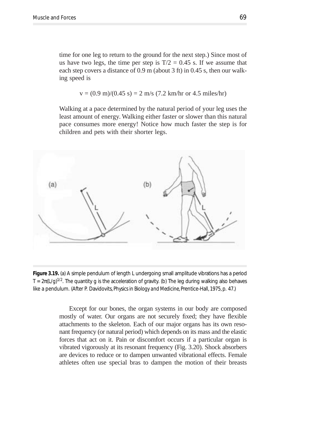time for one leg to return to the ground for the next step.) Since most of us have two legs, the time per step is  $T/2 = 0.45$  s. If we assume that each step covers a distance of 0.9 m (about 3 ft) in 0.45 s, then our walking speed is

$$
v = (0.9 \text{ m})/(0.45 \text{ s}) = 2 \text{ m/s} (7.2 \text{ km/hr or } 4.5 \text{ miles/hr})
$$

Walking at a pace determined by the natural period of your leg uses the least amount of energy. Walking either faster or slower than this natural pace consumes more energy! Notice how much faster the step is for children and pets with their shorter legs.



*Figure 3.19.* (a) A simple pendulum of length L undergoing small amplitude vibrations has a period  $T = 2\pi (L/g)^{1/2}$ . The quantity g is the acceleration of gravity. (b) The leg during walking also behaves like a pendulum. (After P. Davidovits, *Physics in Biology and Medicine*, Prentice-Hall, 1975, p. 47.)

> Except for our bones, the organ systems in our body are composed mostly of water. Our organs are not securely fixed; they have flexible attachments to the skeleton. Each of our major organs has its own resonant frequency (or natural period) which depends on its mass and the elastic forces that act on it. Pain or discomfort occurs if a particular organ is vibrated vigorously at its resonant frequency (Fig. 3.20). Shock absorbers are devices to reduce or to dampen unwanted vibrational effects. Female athletes often use special bras to dampen the motion of their breasts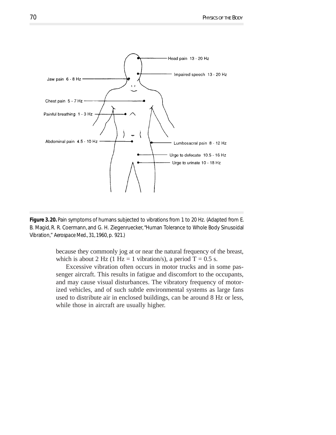

*Figure 3. 20.* Pain symptoms of humans subjected to vibrations from 1 to 20 Hz. (Adapted from E. B. Magid, R. R. Coermann, and G. H. Ziegenruecker, "Human Tolerance to Whole Body Sinusoidal Vibration," *Aerospace Med*., 31, 1960, p. 921.)

because they commonly jog at or near the natural frequency of the breast, which is about 2 Hz (1 Hz = 1 vibration/s), a period  $\overline{T} = 0.5$  s.

Excessive vibration often occurs in motor trucks and in some passenger aircraft. This results in fatigue and discomfort to the occupants, and may cause visual disturbances. The vibratory frequency of motorized vehicles, and of such subtle environmental systems as large fans used to distribute air in enclosed buildings, can be around 8 Hz or less, while those in aircraft are usually higher.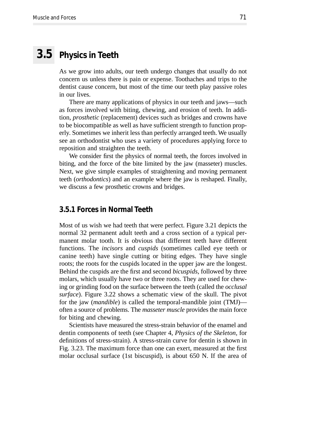### **3.5 Physics in Teeth**

As we grow into adults, our teeth undergo changes that usually do not concern us unless there is pain or expense. Toothaches and trips to the dentist cause concern, but most of the time our teeth play passive roles in our lives.

There are many applications of physics in our teeth and jaws—such as forces involved with biting, chewing, and erosion of teeth. In addition, *prosthetic* (replacement) devices such as bridges and crowns have to be biocompatible as well as have sufficient strength to function properly. Sometimes we inherit less than perfectly arranged teeth. We usually see an orthodontist who uses a variety of procedures applying force to reposition and straighten the teeth.

We consider first the physics of normal teeth, the forces involved in biting, and the force of the bite limited by the jaw (masseter) muscles. Next, we give simple examples of straightening and moving permanent teeth (*orthodontics*) and an example where the jaw is reshaped. Finally, we discuss a few prosthetic crowns and bridges.

#### **3.5.1 Forces in Normal Teeth**

Most of us wish we had teeth that were perfect. Figure 3.21 depicts the normal 32 permanent adult teeth and a cross section of a typical permanent molar tooth. It is obvious that different teeth have different functions. The *incisors* and *cuspids* (sometimes called eye teeth or canine teeth) have single cutting or biting edges. They have single roots; the roots for the cuspids located in the upper jaw are the longest. Behind the cuspids are the first and second *bicuspids*, followed by three molars, which usually have two or three roots. They are used for chewing or grinding food on the surface between the teeth (called the *occlusal surface*). Figure 3.22 shows a schematic view of the skull. The pivot for the jaw (*mandible*) is called the temporal-mandible joint (TMJ) often a source of problems. The *masseter muscle* provides the main force for biting and chewing.

Scientists have measured the stress-strain behavior of the enamel and dentin components of teeth (see Chapter 4, *Physics of the Skeleton*, for definitions of stress-strain). A stress-strain curve for dentin is shown in Fig. 3.23. The maximum force than one can exert, measured at the first molar occlusal surface (1st biscuspid), is about 650 N. If the area of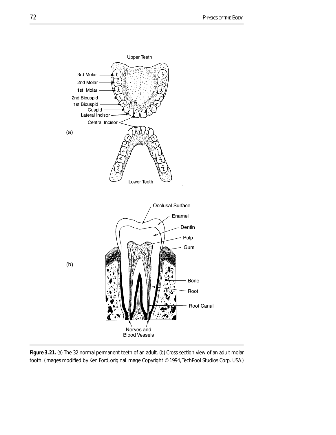

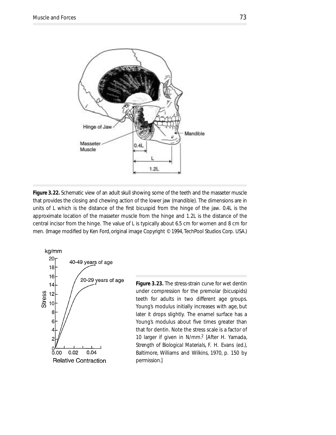

*Figure* 3.22. Schematic view of an adult skull showing some of the teeth and the masseter muscle that provides the closing and chewing action of the lower jaw (mandible). The dimensions are in units of L which is the distance of the first bicuspid from the hinge of the jaw. 0.4L is the approximate location of the masseter muscle from the hinge and 1.2L is the distance of the central incisor from the hinge. The value of L is typically about 6.5 cm for women and 8 cm for men. (Image modified by Ken Ford, original image Copyright © 1994, TechPool Studios Corp. USA.)



**Figure 3.23.** The stress-strain curve for wet dentin under compression for the premolar (bicuspids) teeth for adults in two different age groups. Young's modulus initially increases with age, but later it drops slightly. The enamel surface has a Young's modulus about five times greater than that for dentin. Note the stress scale is a factor of 10 larger if given in N/mm.<sup>2</sup> [After H. Yamada, *Strength of Biological Materials*, F. H. Evans (ed.), Baltimore, Williams and Wilkins, 1970, p. 150 by permission.]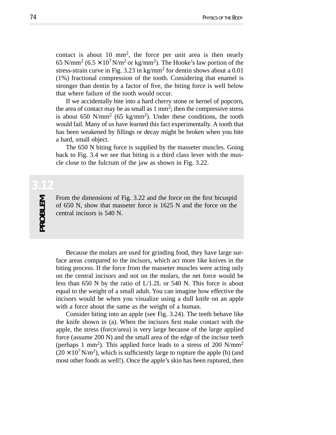contact is about 10 mm2, the force per unit area is then nearly 65 N/mm<sup>2</sup> (6.5  $\times$  10<sup>7</sup> N/m<sup>2</sup> or kg/mm<sup>2</sup>). The Hooke's law portion of the stress-strain curve in Fig. 3.23 in kg/mm<sup>2</sup> for dentin shows about a  $0.01$ (1%) fractional compression of the tooth. Considering that enamel is stronger than dentin by a factor of five, the biting force is well below that where failure of the tooth would occur.

If we accidentally bite into a hard cherry stone or kernel of popcorn, the area of contact may be as small as  $1 \text{ mm}^2$ ; then the compressive stress is about 650 N/mm<sup>2</sup> (65 kg/mm<sup>2</sup>). Under these conditions, the tooth would fail. Many of us have learned this fact experimentally. A tooth that has been weakened by fillings or decay might be broken when you bite a hard, small object.

The 650 N biting force is supplied by the masseter muscles. Going back to Fig. 3.4 we see that biting is a third class lever with the muscle close to the fulcrum of the jaw as shown in Fig. 3.22.

## PROBLEM **PROBLEM**

From the dimensions of Fig. 3.22 and the force on the first bicuspid of 650 N, show that masseter force is 1625 N and the force on the central incisors is 540 N.

Because the molars are used for grinding food, they have large surface areas compared to the incisors, which act more like knives in the biting process. If the force from the masseter muscles were acting only on the central incisors and not on the molars, the net force would be less than 650 N by the ratio of L/1.2L or 540 N. This force is about equal to the weight of a small adult. You can imagine how effective the incisors would be when you visualize using a dull knife on an apple with a force about the same as the weight of a human.

Consider biting into an apple (see Fig. 3.24). The teeth behave like the knife shown in (a). When the incisors first make contact with the apple, the stress (force/area) is very large because of the large applied force (assume 200 N) and the small area of the edge of the incisor teeth (perhaps 1 mm<sup>2</sup>). This applied force leads to a stress of 200 N/mm<sup>2</sup>  $(20 \times 10^7 \text{ N/m}^2)$ , which is sufficiently large to rupture the apple (b) (and most other foods as well!). Once the apple's skin has been ruptured, then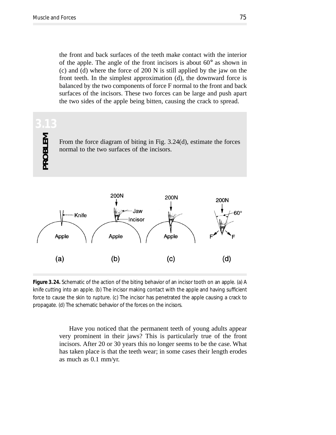the front and back surfaces of the teeth make contact with the interior of the apple. The angle of the front incisors is about  $60^{\circ}$  as shown in (c) and (d) where the force of 200 N is still applied by the jaw on the front teeth. In the simplest approximation (d), the downward force is balanced by the two components of force F normal to the front and back surfaces of the incisors. These two forces can be large and push apart the two sides of the apple being bitten, causing the crack to spread.



*Figure* 3.24. Schematic of the action of the biting behavior of an incisor tooth on an apple. (a) A knife cutting into an apple. (b) The incisor making contact with the apple and having sufficient force to cause the skin to rupture. (c) The incisor has penetrated the apple causing a crack to propagate. (d) The schematic behavior of the forces on the incisors.

> Have you noticed that the permanent teeth of young adults appear very prominent in their jaws? This is particularly true of the front incisors. After 20 or 30 years this no longer seems to be the case. What has taken place is that the teeth wear; in some cases their length erodes as much as 0.1 mm/yr.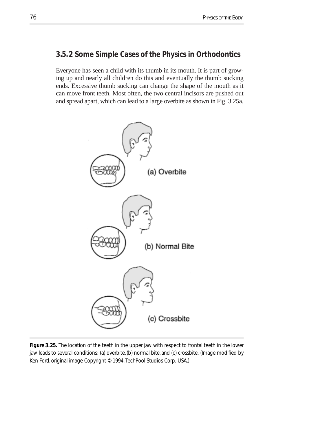#### **3.5. 2 Some Simple Cases of the Physics in Orthodontics**

Everyone has seen a child with its thumb in its mouth. It is part of growing up and nearly all children do this and eventually the thumb sucking ends. Excessive thumb sucking can change the shape of the mouth as it can move front teeth. Most often, the two central incisors are pushed out and spread apart, which can lead to a large overbite as shown in Fig. 3.25a.



*Figure* 3.25. The location of the teeth in the upper jaw with respect to frontal teeth in the lower jaw leads to several conditions: (a) overbite, (b) normal bite, and (c) crossbite. (Image modified by Ken Ford, original image Copyright © 1994, TechPool Studios Corp. USA.)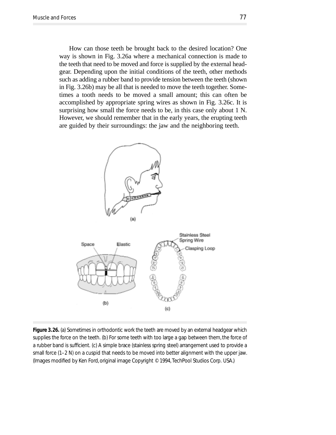How can those teeth be brought back to the desired location? One way is shown in Fig. 3.26a where a mechanical connection is made to the teeth that need to be moved and force is supplied by the external headgear. Depending upon the initial conditions of the teeth, other methods such as adding a rubber band to provide tension between the teeth (shown in Fig. 3.26b) may be all that is needed to move the teeth together. Sometimes a tooth needs to be moved a small amount; this can often be accomplished by appropriate spring wires as shown in Fig. 3.26c. It is surprising how small the force needs to be, in this case only about 1 N. However, we should remember that in the early years, the erupting teeth are guided by their surroundings: the jaw and the neighboring teeth.



*Figure* 3.26. (a) Sometimes in orthodontic work the teeth are moved by an external headgear which supplies the force on the teeth. (b) For some teeth with too large a gap between them, the force of a rubber band is sufficient. (c) A simple brace (stainless spring steel) arrangement used to provide a small force (1–2 N) on a cuspid that needs to be moved into better alignment with the upper jaw. (Images modified by Ken Ford, original image Copyright © 1994, TechPool Studios Corp. USA.)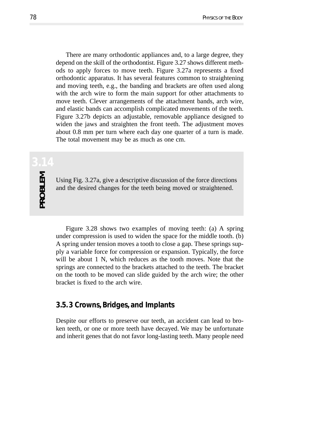There are many orthodontic appliances and, to a large degree, they depend on the skill of the orthodontist. Figure 3.27 shows different methods to apply forces to move teeth. Figure 3.27a represents a fixed orthodontic apparatus. It has several features common to straightening and moving teeth, e.g., the banding and brackets are often used along with the arch wire to form the main support for other attachments to move teeth. Clever arrangements of the attachment bands, arch wire, and elastic bands can accomplish complicated movements of the teeth. Figure 3.27b depicts an adjustable, removable appliance designed to widen the jaws and straighten the front teeth. The adjustment moves about 0.8 mm per turn where each day one quarter of a turn is made. The total movement may be as much as one cm.

# PROBLEM **PROBLEM**

Using Fig. 3.27a, give a descriptive discussion of the force directions and the desired changes for the teeth being moved or straightened.

Figure 3.28 shows two examples of moving teeth: (a) A spring under compression is used to widen the space for the middle tooth. (b) A spring under tension moves a tooth to close a gap. These springs supply a variable force for compression or expansion. Typically, the force will be about 1 N, which reduces as the tooth moves. Note that the springs are connected to the brackets attached to the teeth. The bracket on the tooth to be moved can slide guided by the arch wire; the other bracket is fixed to the arch wire.

#### **3.5. 3 Crowns, Bridges, and Implants**

Despite our efforts to preserve our teeth, an accident can lead to broken teeth, or one or more teeth have decayed. We may be unfortunate and inherit genes that do not favor long-lasting teeth. Many people need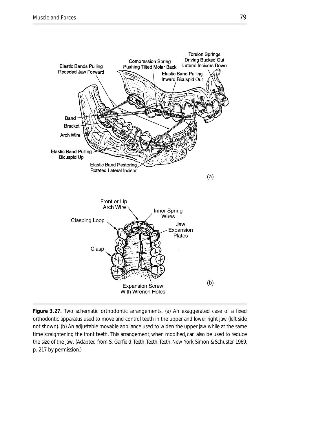

**Figure 3.27.** Two schematic orthodontic arrangements. (a) An exaggerated case of a fixed orthodontic apparatus used to move and control teeth in the upper and lower right jaw (left side not shown). (b) An adjustable movable appliance used to widen the upper jaw while at the same time straightening the front teeth. This arrangement, when modified, can also be used to reduce the size of the jaw. (Adapted from S. Garfield, *Teeth, Teeth, Teeth*, New York, Simon & Schuster, 1969, p. 217 by permission.)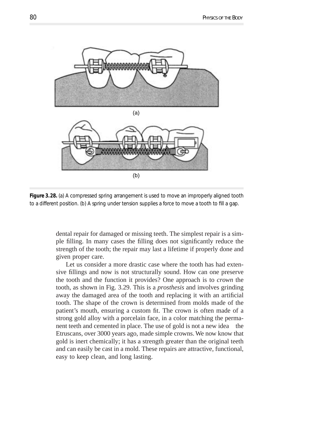



**Figure 3.28.** (a) A compressed spring arrangement is used to move an improperly aligned tooth to a different position. (b) A spring under tension supplies a force to move a tooth to fill a gap.

dental repair for damaged or missing teeth. The simplest repair is a simple filling. In many cases the filling does not significantly reduce the strength of the tooth; the repair may last a lifetime if properly done and given proper care.

Let us consider a more drastic case where the tooth has had extensive fillings and now is not structurally sound. How can one preserve the tooth and the function it provides? One approach is to *crown* the tooth, as shown in Fig. 3.29. This is a *prosthesis* and involves grinding away the damaged area of the tooth and replacing it with an artificial tooth. The shape of the crown is determined from molds made of the patient's mouth, ensuring a custom fit. The crown is often made of a strong gold alloy with a porcelain face, in a color matching the permanent teeth and cemented in place. The use of gold is not a new idea-the Etruscans, over 3000 years ago, made simple crowns. We now know that gold is inert chemically; it has a strength greater than the original teeth and can easily be cast in a mold. These repairs are attractive, functional, easy to keep clean, and long lasting.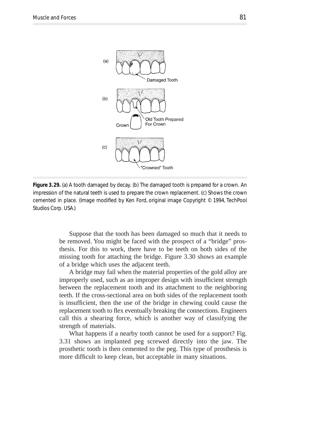

*Figure* 3.29. (a) A tooth damaged by decay. (b) The damaged tooth is prepared for a crown. An impression of the natural teeth is used to prepare the crown replacement. (c) Shows the crown cemented in place. (Image modified by Ken Ford, original image Copyright © 1994, TechPool Studios Corp. USA.)

Suppose that the tooth has been damaged so much that it needs to be removed. You might be faced with the prospect of a "bridge" prosthesis. For this to work, there have to be teeth on both sides of the missing tooth for attaching the bridge. Figure 3.30 shows an example of a bridge which uses the adjacent teeth.

A bridge may fail when the material properties of the gold alloy are improperly used, such as an improper design with insufficient strength between the replacement tooth and its attachment to the neighboring teeth. If the cross-sectional area on both sides of the replacement tooth is insufficient, then the use of the bridge in chewing could cause the replacement tooth to flex eventually breaking the connections. Engineers call this a shearing force, which is another way of classifying the strength of materials.

What happens if a nearby tooth cannot be used for a support? Fig. 3.31 shows an implanted peg screwed directly into the jaw. The prosthetic tooth is then cemented to the peg. This type of prosthesis is more difficult to keep clean, but acceptable in many situations.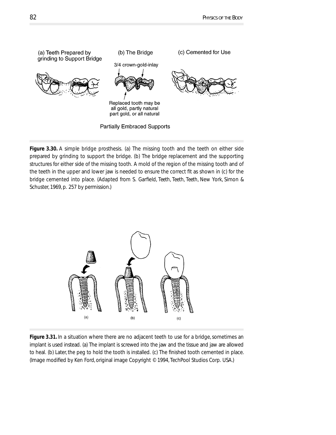

**Figure 3.30.** A simple bridge prosthesis. (a) The missing tooth and the teeth on either side prepared by grinding to support the bridge. (b) The bridge replacement and the supporting structures for either side of the missing tooth. A mold of the region of the missing tooth and of the teeth in the upper and lower jaw is needed to ensure the correct fit as shown in (c) for the bridge cemented into place. (Adapted from S. Garfield, *Teeth, Teeth, Teeth*, New York, Simon & Schuster, 1969, p. 257 by permission.)



*Figure 3.31.* In a situation where there are no adjacent teeth to use for a bridge, sometimes an implant is used instead. (a) The implant is screwed into the jaw and the tissue and jaw are allowed to heal. (b) Later, the peg to hold the tooth is installed. (c) The finished tooth cemented in place. (Image modified by Ken Ford, original image Copyright © 1994, TechPool Studios Corp. USA.)